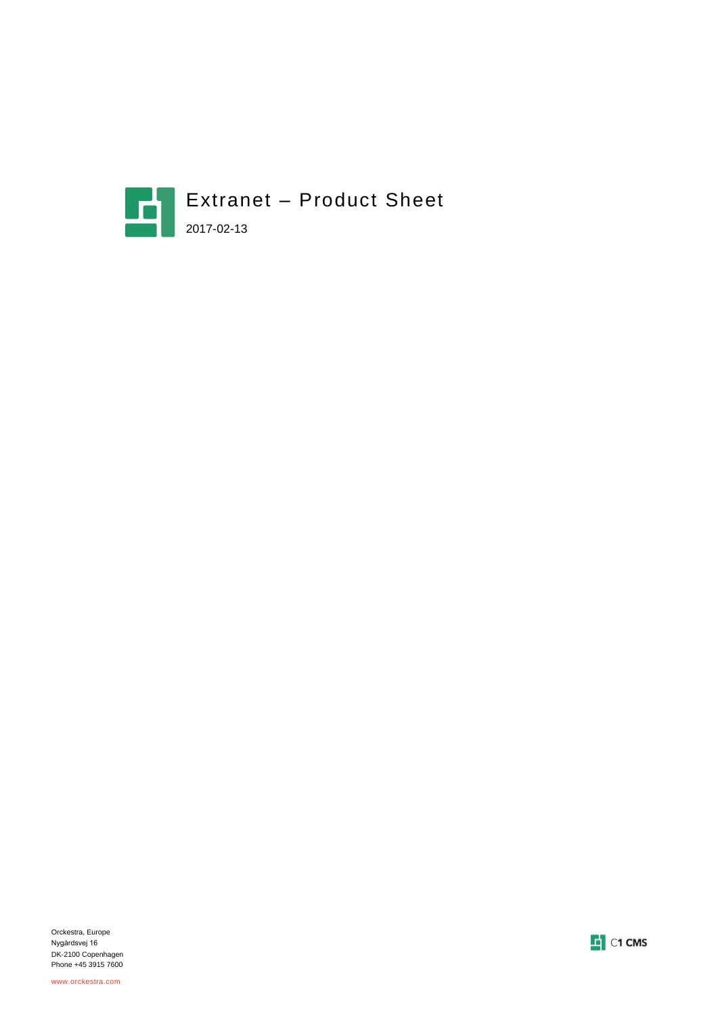

Orckestra, Europe Nygårdsvej 16 DK-2100 Copenhagen Phone +45 3915 7600

www.orckestra.com

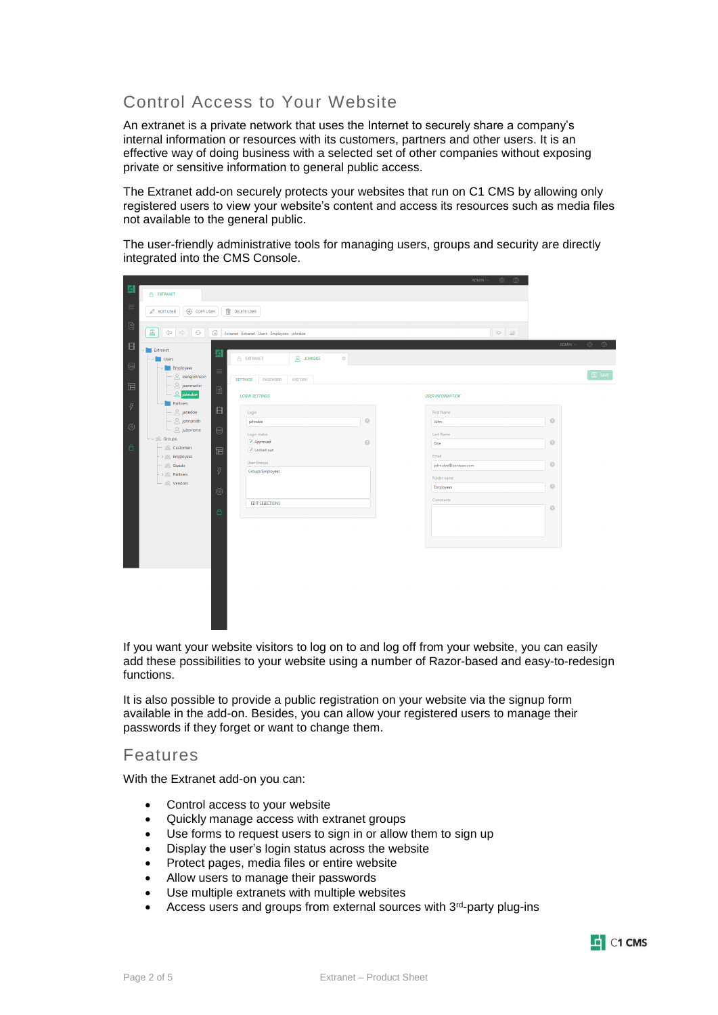# Control Access to Your Website

An extranet is a private network that uses the Internet to securely share a company's internal information or resources with its customers, partners and other users. It is an effective way of doing business with a selected set of other companies without exposing private or sensitive information to general public access.

The Extranet add-on securely protects your websites that run on C1 CMS by allowing only registered users to view your website's content and access its resources such as media files not available to the general public.

The user-friendly administrative tools for managing users, groups and security are directly integrated into the CMS Console.

|                                       |                                                                |                                                   |                 | ADMIN $\vee$<br>-©∂ ⊙   |                                                                                  |
|---------------------------------------|----------------------------------------------------------------|---------------------------------------------------|-----------------|-------------------------|----------------------------------------------------------------------------------|
| 固                                     | EXTRANET                                                       |                                                   |                 |                         |                                                                                  |
| $\equiv$                              | ⊕ COPY USER<br>$\mathscr{O}$ EDIT USER                         | DELETE USER                                       |                 |                         |                                                                                  |
| $\textcolor{red}{\widehat{\boxplus}}$ | $\Xi$<br>$\iff \Rightarrow$<br>$\circ$<br>益                    | Extranet / Extranet / Users / Employees / johndoe | $\circ$ $\cong$ |                         |                                                                                  |
| $\Box$                                | Extranet<br>固                                                  |                                                   |                 |                         | ADMIN $\sim$<br>$\begin{array}{ccccc}\n\circ & & & \circ & & \circ\n\end{array}$ |
| $\odot$                               | Users<br><b>Employees</b>                                      | $2$ JOHNDOE<br>EXTRANET                           | $_{\odot}$      |                         |                                                                                  |
| $\boxdot$                             | $\equiv$<br>$\triangle$ irenejohnson<br>$\triangle$ jeanmartin | <b>HISTORY</b><br><b>SETTINGS</b><br>PASSWORD     |                 |                         | $\boxed{2}$ SAVE                                                                 |
|                                       | $2$ johndoe<br>Partners                                        | <b>LOGIN SETTINGS</b>                             |                 | <b>USER INFORMATION</b> |                                                                                  |
| $\boldsymbol{\mathcal{G}}$            | $\Box$<br>$\triangle$ janedoe                                  | Login                                             |                 | First Name              |                                                                                  |
| छु                                    | $\leq$ johnsmith                                               | johndoe                                           | $\odot$         | John                    | $\odot$                                                                          |
|                                       | $\triangle$ julesverne<br>€                                    | Login status                                      |                 | Last Name               |                                                                                  |
| $\triangle$                           | $L \vee \mathcal{L}$ Groups<br>& Customers                     | $\sqrt{}$ Approved                                | $\odot$         | Doe                     | $\odot$                                                                          |
|                                       | $\qquad \qquad \qquad \qquad \qquad \qquad$<br>> & Employees   | √ Locked out                                      |                 | Email                   |                                                                                  |
|                                       | $- 28$ Guests                                                  | <b>User Groups</b>                                |                 | john.doe@contoso.com    | $_{\odot}$                                                                       |
|                                       | $\boldsymbol{\beta}$<br>> & Partners                           | Groups/Employees                                  |                 | Folder name             |                                                                                  |
|                                       | ⊵ ∨endors                                                      |                                                   |                 | Employees               | $_{\odot}$                                                                       |
|                                       | ु                                                              |                                                   |                 | Comments                |                                                                                  |
|                                       |                                                                | <b>EDIT SELECTIONS</b>                            |                 |                         | $_{\odot}$                                                                       |
|                                       | â                                                              |                                                   |                 |                         |                                                                                  |
|                                       |                                                                |                                                   |                 |                         |                                                                                  |
|                                       |                                                                |                                                   |                 |                         |                                                                                  |
|                                       |                                                                |                                                   |                 |                         |                                                                                  |
|                                       |                                                                |                                                   |                 |                         |                                                                                  |
|                                       |                                                                |                                                   |                 |                         |                                                                                  |
|                                       |                                                                |                                                   |                 |                         |                                                                                  |
|                                       |                                                                |                                                   |                 |                         |                                                                                  |
|                                       |                                                                |                                                   |                 |                         |                                                                                  |
|                                       |                                                                |                                                   |                 |                         |                                                                                  |
|                                       |                                                                |                                                   |                 |                         |                                                                                  |

If you want your website visitors to log on to and log off from your website, you can easily add these possibilities to your website using a number of Razor-based and easy-to-redesign functions.

It is also possible to provide a public registration on your website via the signup form available in the add-on. Besides, you can allow your registered users to manage their passwords if they forget or want to change them.

#### Features

With the Extranet add-on you can:

- Control access to your website
- Quickly manage access with extranet groups
- Use forms to request users to sign in or allow them to sign up
- Display the user's login status across the website
- Protect pages, media files or entire website
- Allow users to manage their passwords
- Use multiple extranets with multiple websites
- Access users and groups from external sources with 3<sup>rd</sup>-party plug-ins

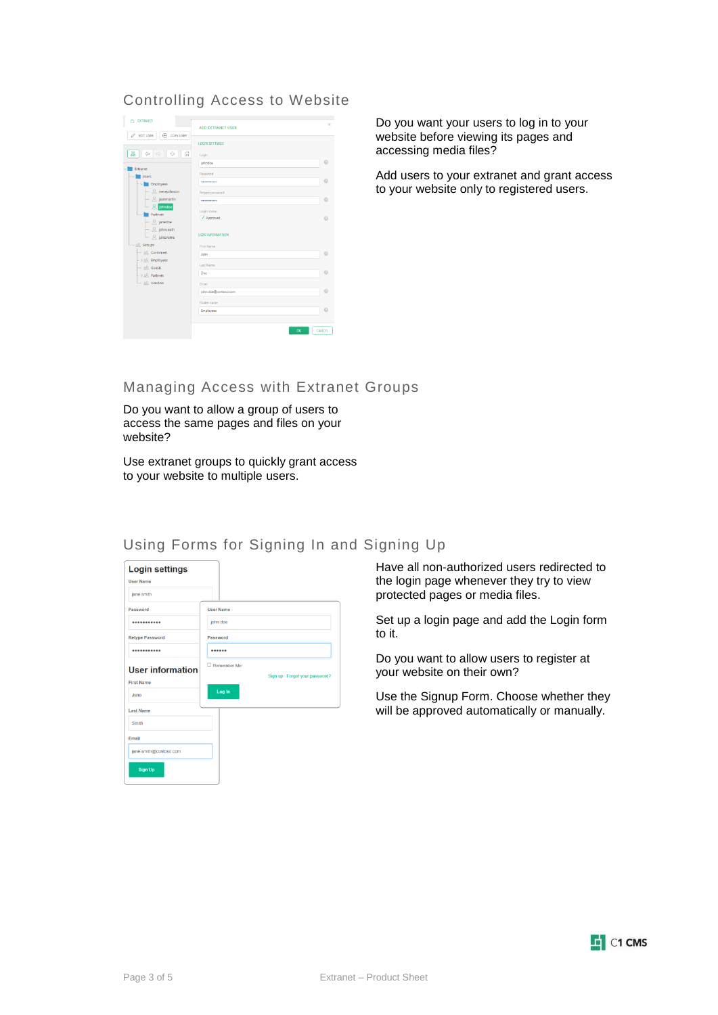## Controlling Access to Website



Do you want your users to log in to your website before viewing its pages and accessing media files?

Add users to your extranet and grant access to your website only to registered users.

## Managing Access with Extranet Groups

Do you want to allow a group of users to access the same pages and files on your website?

Use extranet groups to quickly grant access to your website to multiple users.

## Using Forms for Signing In and Signing Up



Have all non-authorized users redirected to the login page whenever they try to view protected pages or media files.

Set up a login page and add the Login form to it.

Do you want to allow users to register at your website on their own?

Use the Signup Form. Choose whether they will be approved automatically or manually.

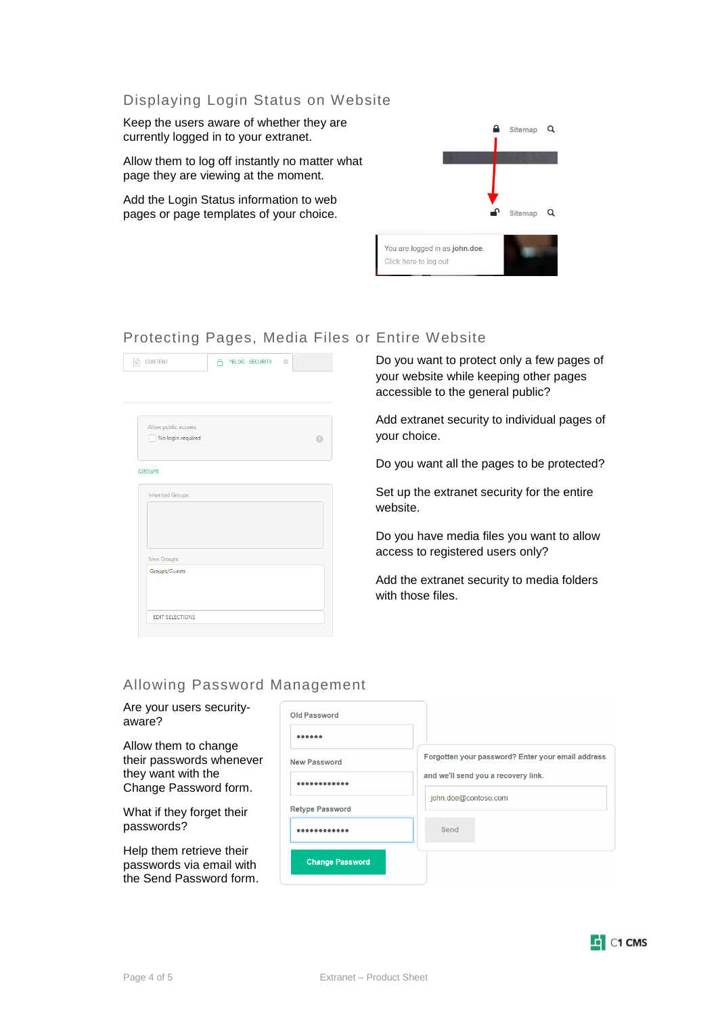#### Displaying Login Status on Website

Keep the users aware of whether they are currently logged in to your extranet.

Allow them to log off instantly no matter what page they are viewing at the moment.

Add the Login Status information to web pages or page templates of your choice.



### Protecting Pages, Media Files or Entire Website

| <b>CONTENT</b>          | *BLOG - SECURITY ©<br>Α |  |
|-------------------------|-------------------------|--|
|                         |                         |  |
|                         |                         |  |
|                         |                         |  |
|                         |                         |  |
| Allow public acccess    |                         |  |
| No login required       |                         |  |
|                         |                         |  |
|                         |                         |  |
| <b>GROUPS</b>           |                         |  |
| <b>Inherited Groups</b> |                         |  |
|                         |                         |  |
|                         |                         |  |
|                         |                         |  |
|                         |                         |  |
|                         |                         |  |
| New Groups              |                         |  |
| Groups/Guests           |                         |  |
|                         |                         |  |
|                         |                         |  |
|                         |                         |  |
| <b>EDIT SELECTIONS</b>  |                         |  |
|                         |                         |  |

Do you want to protect only a few pages of your website while keeping other pages accessible to the general public?

Add extranet security to individual pages of your choice.

Do you want all the pages to be protected?

Set up the extranet security for the entire website.

Do you have media files you want to allow access to registered users only?

Add the extranet security to media folders with those files.

#### Allowing Password Management

Are your users securityaware? Allow them to change

their passwords whenever they want with the Change Password form.

What if they forget their passwords?

Help them retrieve their passwords via email with the Send Password form.

| <b>New Password</b>    | Forgotten your password? Enter your email address |
|------------------------|---------------------------------------------------|
|                        | and we'll send you a recovery link.               |
| <b>Retype Password</b> | john.doe@contoso.com                              |
|                        | Send                                              |